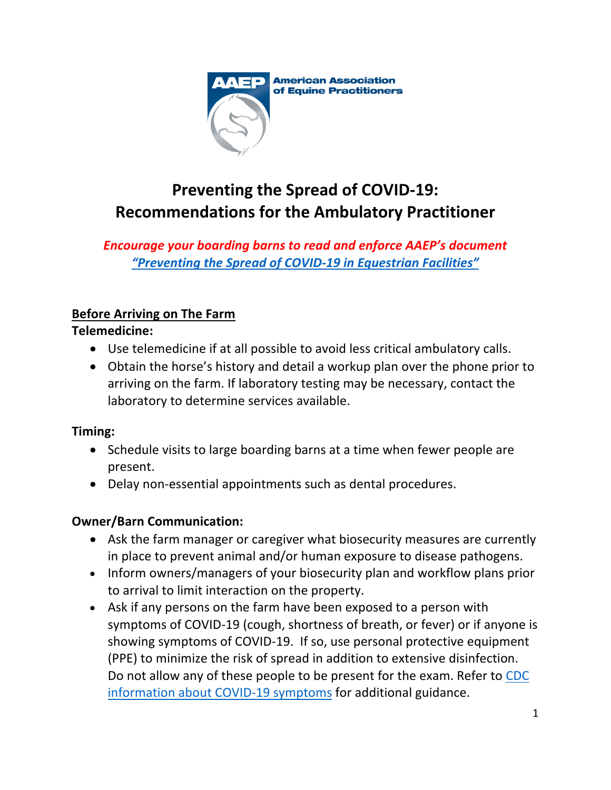

# **Preventing the Spread of COVID-19: Recommendations for the Ambulatory Practitioner**

*Encourage your boarding barns to read and enforce AAEP's document "Preventing [the Spread of COVID-19 in Equestrian Facilities"](https://aaep.org/sites/default/files/Documents/PreventCOVIDinEquestrianFacilitiesAAEP_0.pdf)*

# **Before Arriving on The Farm**

#### **Telemedicine:**

- Use telemedicine if at all possible to avoid less critical ambulatory calls.
- Obtain the horse's history and detail a workup plan over the phone prior to arriving on the farm. If laboratory testing may be necessary, contact the laboratory to determine services available.

#### **Timing:**

- Schedule visits to large boarding barns at a time when fewer people are present.
- Delay non-essential appointments such as dental procedures.

# **Owner/Barn Communication:**

- Ask the farm manager or caregiver what biosecurity measures are currently in place to prevent animal and/or human exposure to disease pathogens.
- Inform owners/managers of your biosecurity plan and workflow plans prior to arrival to limit interaction on the property.
- Ask if any persons on the farm have been exposed to a person with symptoms of COVID-19 (cough, shortness of breath, or fever) or if anyone is showing symptoms of COVID-19. If so, use personal protective equipment (PPE) to minimize the risk of spread in addition to extensive disinfection. [Do not allow any of these people to be present for the exam. Refer to CDC](https://www.cdc.gov/coronavirus/2019-ncov/symptoms-testing/symptoms.html) information about COVID-19 symptoms for additional guidance.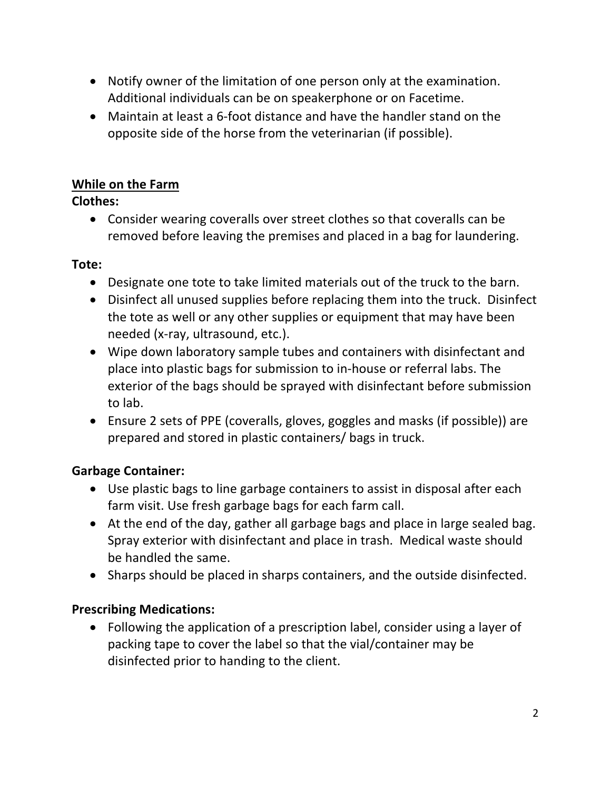- Notify owner of the limitation of one person only at the examination. Additional individuals can be on speakerphone or on Facetime.
- Maintain at least a 6-foot distance and have the handler stand on the opposite side of the horse from the veterinarian (if possible).

# **While on the Farm**

# **Clothes:**

• Consider wearing coveralls over street clothes so that coveralls can be removed before leaving the premises and placed in a bag for laundering.

#### **Tote:**

- Designate one tote to take limited materials out of the truck to the barn.
- Disinfect all unused supplies before replacing them into the truck. Disinfect the tote as well or any other supplies or equipment that may have been needed (x-ray, ultrasound, etc.).
- Wipe down laboratory sample tubes and containers with disinfectant and place into plastic bags for submission to in-house or referral labs. The exterior of the bags should be sprayed with disinfectant before submission to lab.
- Ensure 2 sets of PPE (coveralls, gloves, goggles and masks (if possible)) are prepared and stored in plastic containers/ bags in truck.

# **Garbage Container:**

- Use plastic bags to line garbage containers to assist in disposal after each farm visit. Use fresh garbage bags for each farm call.
- At the end of the day, gather all garbage bags and place in large sealed bag. Spray exterior with disinfectant and place in trash. Medical waste should be handled the same.
- Sharps should be placed in sharps containers, and the outside disinfected.

# **Prescribing Medications:**

• Following the application of a prescription label, consider using a layer of packing tape to cover the label so that the vial/container may be disinfected prior to handing to the client.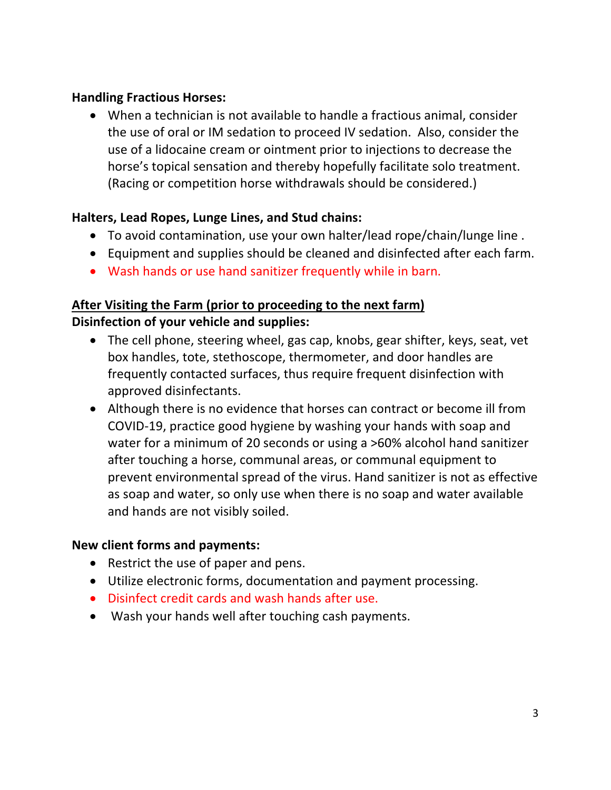#### **Handling Fractious Horses:**

• When a technician is not available to handle a fractious animal, consider the use of oral or IM sedation to proceed IV sedation. Also, consider the use of a lidocaine cream or ointment prior to injections to decrease the horse's topical sensation and thereby hopefully facilitate solo treatment. (Racing or competition horse withdrawals should be considered.)

# **Halters, Lead Ropes, Lunge Lines, and Stud chains:**

- To avoid contamination, use your own halter/lead rope/chain/lunge line .
- Equipment and supplies should be cleaned and disinfected after each farm.
- Wash hands or use hand sanitizer frequently while in barn.

### **After Visiting the Farm (prior to proceeding to the next farm) Disinfection of your vehicle and supplies:**

- The cell phone, steering wheel, gas cap, knobs, gear shifter, keys, seat, vet box handles, tote, stethoscope, thermometer, and door handles are frequently contacted surfaces, thus require frequent disinfection with approved disinfectants.
- Although there is no evidence that horses can contract or become ill from COVID-19, practice good hygiene by washing your hands with soap and water for a minimum of 20 seconds or using a >60% alcohol hand sanitizer after touching a horse, communal areas, or communal equipment to prevent environmental spread of the virus. Hand sanitizer is not as effective as soap and water, so only use when there is no soap and water available and hands are not visibly soiled.

#### **New client forms and payments:**

- Restrict the use of paper and pens.
- Utilize electronic forms, documentation and payment processing.
- Disinfect credit cards and wash hands after use.
- Wash your hands well after touching cash payments.